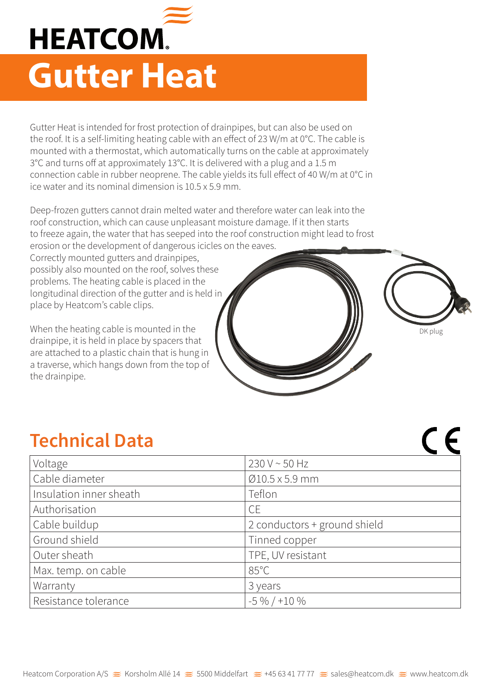

Gutter Heat is intended for frost protection of drainpipes, but can also be used on the roof. It is a self-limiting heating cable with an effect of 23 W/m at 0°C. The cable is mounted with a thermostat, which automatically turns on the cable at approximately 3°C and turns off at approximately 13°C. It is delivered with a plug and a 1.5 m connection cable in rubber neoprene. The cable yields its full effect of 40 W/m at 0°C in ice water and its nominal dimension is 10.5 x 5.9 mm.

Deep-frozen gutters cannot drain melted water and therefore water can leak into the roof construction, which can cause unpleasant moisture damage. If it then starts to freeze again, the water that has seeped into the roof construction might lead to frost erosion or the development of dangerous icicles on the eaves.

Correctly mounted gutters and drainpipes, possibly also mounted on the roof, solves these problems. The heating cable is placed in the longitudinal direction of the gutter and is held in place by Heatcom's cable clips.

When the heating cable is mounted in the drainpipe, it is held in place by spacers that are attached to a plastic chain that is hung in a traverse, which hangs down from the top of the drainpipe.

## **Technical Data**

| Voltage                 | $230 V \sim 50 Hz$           |
|-------------------------|------------------------------|
| Cable diameter          | $Ø10.5 \times 5.9$ mm        |
| Insulation inner sheath | Teflon                       |
| Authorisation           | <b>CE</b>                    |
| Cable buildup           | 2 conductors + ground shield |
| Ground shield           | Tinned copper                |
| Outer sheath            | TPE, UV resistant            |
| Max. temp. on cable     | $85^{\circ}$ C               |
| Warranty                | 3 years                      |
| Resistance tolerance    | $-5\% / +10\%$               |

DK plug

 $\epsilon$